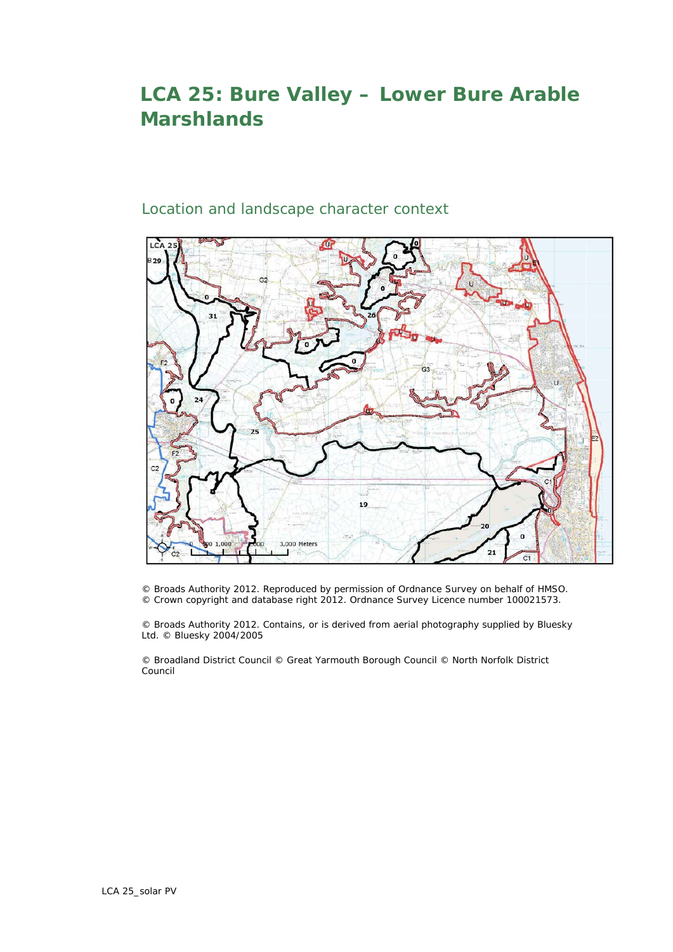## **LCA 25: Bure Valley – Lower Bure Arable Marshlands**

## Location and landscape character context



© Broads Authority 2012. Reproduced by permission of Ordnance Survey on behalf of HMSO. © Crown copyright and database right 2012. Ordnance Survey Licence number 100021573.

© Broads Authority 2012. Contains, or is derived from aerial photography supplied by Bluesky Ltd. © Bluesky 2004/2005

© Broadland District Council © Great Yarmouth Borough Council © North Norfolk District Council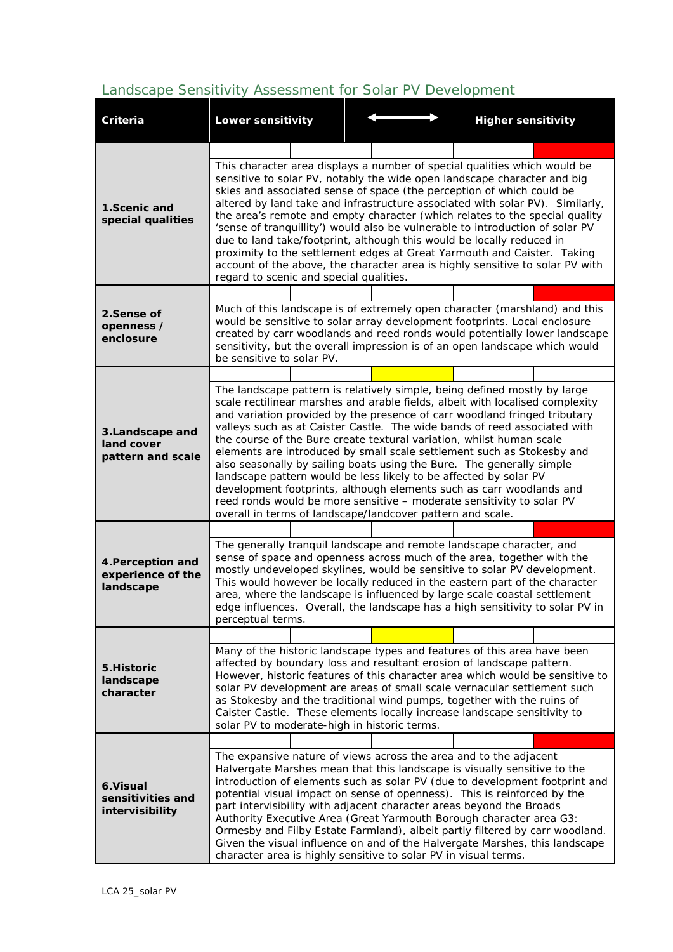## *Landscape Sensitivity Assessment for Solar PV Development*

| Criteria                                            | <b>Lower sensitivity</b>                                                                                                                                                                                                                                                                                                                                                                                                                                                                                                                                                                                                                                                                                                                                                                                                            |  | <b>Higher sensitivity</b> |  |  |  |  |  |  |  |
|-----------------------------------------------------|-------------------------------------------------------------------------------------------------------------------------------------------------------------------------------------------------------------------------------------------------------------------------------------------------------------------------------------------------------------------------------------------------------------------------------------------------------------------------------------------------------------------------------------------------------------------------------------------------------------------------------------------------------------------------------------------------------------------------------------------------------------------------------------------------------------------------------------|--|---------------------------|--|--|--|--|--|--|--|
|                                                     |                                                                                                                                                                                                                                                                                                                                                                                                                                                                                                                                                                                                                                                                                                                                                                                                                                     |  |                           |  |  |  |  |  |  |  |
| 1. Scenic and<br>special qualities                  | This character area displays a number of special qualities which would be<br>sensitive to solar PV, notably the wide open landscape character and big<br>skies and associated sense of space (the perception of which could be<br>altered by land take and infrastructure associated with solar PV). Similarly,<br>the area's remote and empty character (which relates to the special quality<br>'sense of tranquillity') would also be vulnerable to introduction of solar PV<br>due to land take/footprint, although this would be locally reduced in<br>proximity to the settlement edges at Great Yarmouth and Caister. Taking<br>account of the above, the character area is highly sensitive to solar PV with<br>regard to scenic and special qualities.                                                                     |  |                           |  |  |  |  |  |  |  |
|                                                     |                                                                                                                                                                                                                                                                                                                                                                                                                                                                                                                                                                                                                                                                                                                                                                                                                                     |  |                           |  |  |  |  |  |  |  |
| 2. Sense of<br>openness /<br>enclosure              | Much of this landscape is of extremely open character (marshland) and this<br>would be sensitive to solar array development footprints. Local enclosure<br>created by carr woodlands and reed ronds would potentially lower landscape<br>sensitivity, but the overall impression is of an open landscape which would<br>be sensitive to solar PV.                                                                                                                                                                                                                                                                                                                                                                                                                                                                                   |  |                           |  |  |  |  |  |  |  |
|                                                     |                                                                                                                                                                                                                                                                                                                                                                                                                                                                                                                                                                                                                                                                                                                                                                                                                                     |  |                           |  |  |  |  |  |  |  |
| 3. Landscape and<br>land cover<br>pattern and scale | The landscape pattern is relatively simple, being defined mostly by large<br>scale rectilinear marshes and arable fields, albeit with localised complexity<br>and variation provided by the presence of carr woodland fringed tributary<br>valleys such as at Caister Castle. The wide bands of reed associated with<br>the course of the Bure create textural variation, whilst human scale<br>elements are introduced by small scale settlement such as Stokesby and<br>also seasonally by sailing boats using the Bure. The generally simple<br>landscape pattern would be less likely to be affected by solar PV<br>development footprints, although elements such as carr woodlands and<br>reed ronds would be more sensitive - moderate sensitivity to solar PV<br>overall in terms of landscape/landcover pattern and scale. |  |                           |  |  |  |  |  |  |  |
|                                                     |                                                                                                                                                                                                                                                                                                                                                                                                                                                                                                                                                                                                                                                                                                                                                                                                                                     |  |                           |  |  |  |  |  |  |  |
| 4. Perception and<br>experience of the<br>landscape | The generally tranquil landscape and remote landscape character, and<br>sense of space and openness across much of the area, together with the<br>mostly undeveloped skylines, would be sensitive to solar PV development.<br>This would however be locally reduced in the eastern part of the character<br>area, where the landscape is influenced by large scale coastal settlement<br>edge influences. Overall, the landscape has a high sensitivity to solar PV in<br>perceptual terms.                                                                                                                                                                                                                                                                                                                                         |  |                           |  |  |  |  |  |  |  |
|                                                     |                                                                                                                                                                                                                                                                                                                                                                                                                                                                                                                                                                                                                                                                                                                                                                                                                                     |  |                           |  |  |  |  |  |  |  |
| 5. Historic<br>landscape<br>character               | Many of the historic landscape types and features of this area have been<br>affected by boundary loss and resultant erosion of landscape pattern.<br>However, historic features of this character area which would be sensitive to<br>solar PV development are areas of small scale vernacular settlement such<br>as Stokesby and the traditional wind pumps, together with the ruins of<br>Caister Castle. These elements locally increase landscape sensitivity to<br>solar PV to moderate-high in historic terms.                                                                                                                                                                                                                                                                                                                |  |                           |  |  |  |  |  |  |  |
|                                                     |                                                                                                                                                                                                                                                                                                                                                                                                                                                                                                                                                                                                                                                                                                                                                                                                                                     |  |                           |  |  |  |  |  |  |  |
| 6.Visual<br>sensitivities and<br>intervisibility    | The expansive nature of views across the area and to the adjacent<br>Halvergate Marshes mean that this landscape is visually sensitive to the<br>introduction of elements such as solar PV (due to development footprint and<br>potential visual impact on sense of openness). This is reinforced by the<br>part intervisibility with adjacent character areas beyond the Broads<br>Authority Executive Area (Great Yarmouth Borough character area G3:<br>Ormesby and Filby Estate Farmland), albeit partly filtered by carr woodland.<br>Given the visual influence on and of the Halvergate Marshes, this landscape<br>character area is highly sensitive to solar PV in visual terms.                                                                                                                                           |  |                           |  |  |  |  |  |  |  |